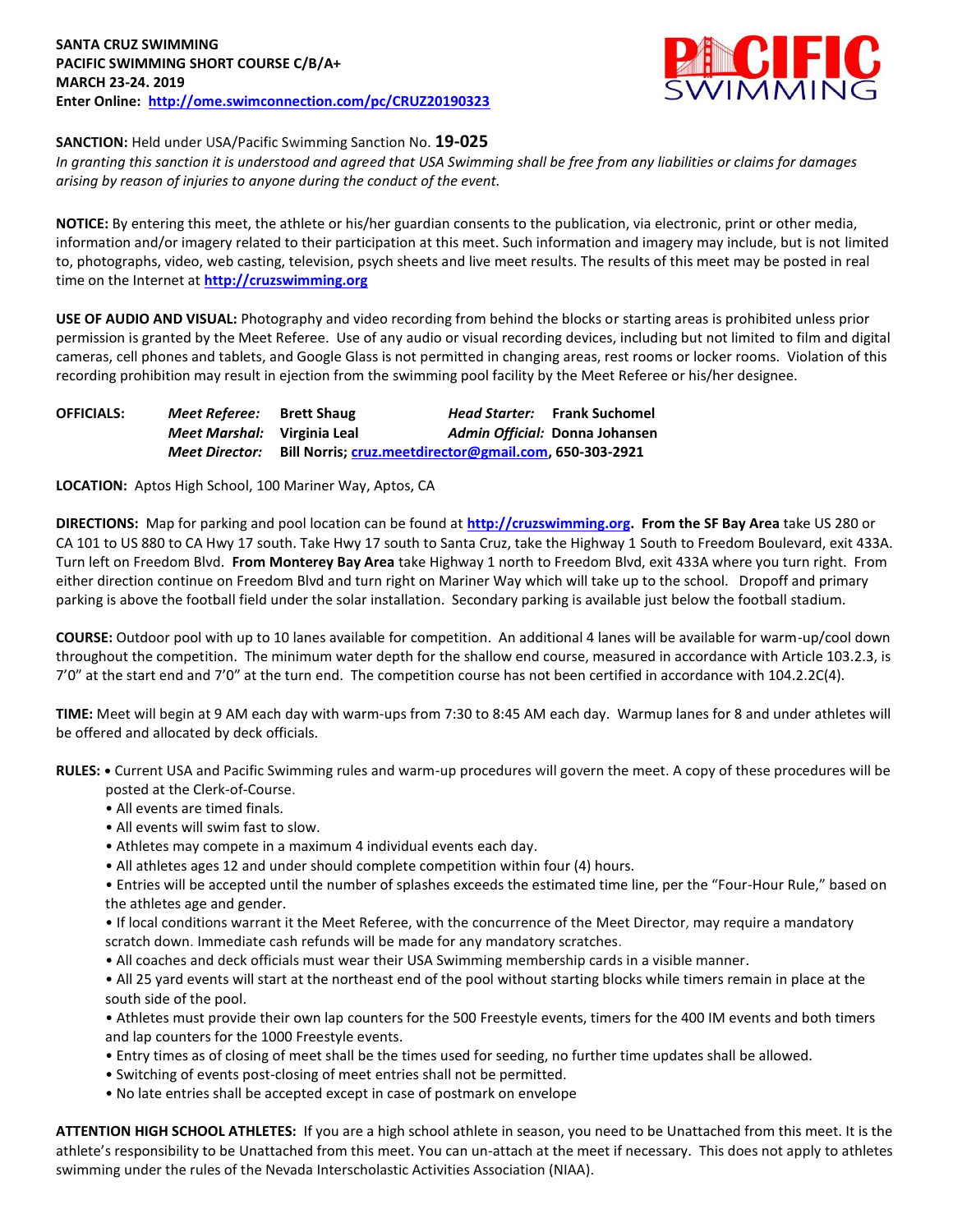

## **SANCTION:** Held under USA/Pacific Swimming Sanction No. **19-025**

*In granting this sanction it is understood and agreed that USA Swimming shall be free from any liabilities or claims for damages arising by reason of injuries to anyone during the conduct of the event.* 

**NOTICE:** By entering this meet, the athlete or his/her guardian consents to the publication, via electronic, print or other media, information and/or imagery related to their participation at this meet. Such information and imagery may include, but is not limited to, photographs, video, web casting, television, psych sheets and live meet results. The results of this meet may be posted in real time on the Internet at **[http://cruzswimming.org](http://cruzswimming.org/)**

**USE OF AUDIO AND VISUAL:** Photography and video recording from behind the blocks or starting areas is prohibited unless prior permission is granted by the Meet Referee. Use of any audio or visual recording devices, including but not limited to film and digital cameras, cell phones and tablets, and Google Glass is not permitted in changing areas, rest rooms or locker rooms. Violation of this recording prohibition may result in ejection from the swimming pool facility by the Meet Referee or his/her designee.

| <b>OFFICIALS:</b> | Meet Referee:               | <b>Brett Shaug</b> |                                                        | <b>Head Starter:</b> Frank Suchomel |
|-------------------|-----------------------------|--------------------|--------------------------------------------------------|-------------------------------------|
|                   | Meet Marshal: Virginia Leal |                    |                                                        | Admin Official: Donna Johansen      |
|                   | <b>Meet Director:</b>       |                    | Bill Norris; cruz.meetdirector@gmail.com, 650-303-2921 |                                     |

**LOCATION:** Aptos High School, 100 Mariner Way, Aptos, CA

**DIRECTIONS:** Map for parking and pool location can be found at **[http://cruzswimming.org.](http://cruzswimming.org/) From the SF Bay Area** take US 280 or CA 101 to US 880 to CA Hwy 17 south. Take Hwy 17 south to Santa Cruz, take the Highway 1 South to Freedom Boulevard, exit 433A. Turn left on Freedom Blvd. **From Monterey Bay Area** take Highway 1 north to Freedom Blvd, exit 433A where you turn right. From either direction continue on Freedom Blvd and turn right on Mariner Way which will take up to the school. Dropoff and primary parking is above the football field under the solar installation. Secondary parking is available just below the football stadium.

**COURSE:** Outdoor pool with up to 10 lanes available for competition. An additional 4 lanes will be available for warm-up/cool down throughout the competition. The minimum water depth for the shallow end course, measured in accordance with Article 103.2.3, is 7'0" at the start end and 7'0" at the turn end. The competition course has not been certified in accordance with 104.2.2C(4).

**TIME:** Meet will begin at 9 AM each day with warm-ups from 7:30 to 8:45 AM each day. Warmup lanes for 8 and under athletes will be offered and allocated by deck officials.

**RULES: •** Current USA and Pacific Swimming rules and warm-up procedures will govern the meet. A copy of these procedures will be posted at the Clerk-of-Course.

- All events are timed finals.
- All events will swim fast to slow.
- Athletes may compete in a maximum 4 individual events each day.
- All athletes ages 12 and under should complete competition within four (4) hours.

• Entries will be accepted until the number of splashes exceeds the estimated time line, per the "Four-Hour Rule," based on the athletes age and gender.

• If local conditions warrant it the Meet Referee, with the concurrence of the Meet Director, may require a mandatory scratch down. Immediate cash refunds will be made for any mandatory scratches.

• All coaches and deck officials must wear their USA Swimming membership cards in a visible manner.

• All 25 yard events will start at the northeast end of the pool without starting blocks while timers remain in place at the south side of the pool.

• Athletes must provide their own lap counters for the 500 Freestyle events, timers for the 400 IM events and both timers and lap counters for the 1000 Freestyle events.

- Entry times as of closing of meet shall be the times used for seeding, no further time updates shall be allowed.
- Switching of events post-closing of meet entries shall not be permitted.
- No late entries shall be accepted except in case of postmark on envelope

**ATTENTION HIGH SCHOOL ATHLETES:** If you are a high school athlete in season, you need to be Unattached from this meet. It is the athlete's responsibility to be Unattached from this meet. You can un-attach at the meet if necessary. This does not apply to athletes swimming under the rules of the Nevada Interscholastic Activities Association (NIAA).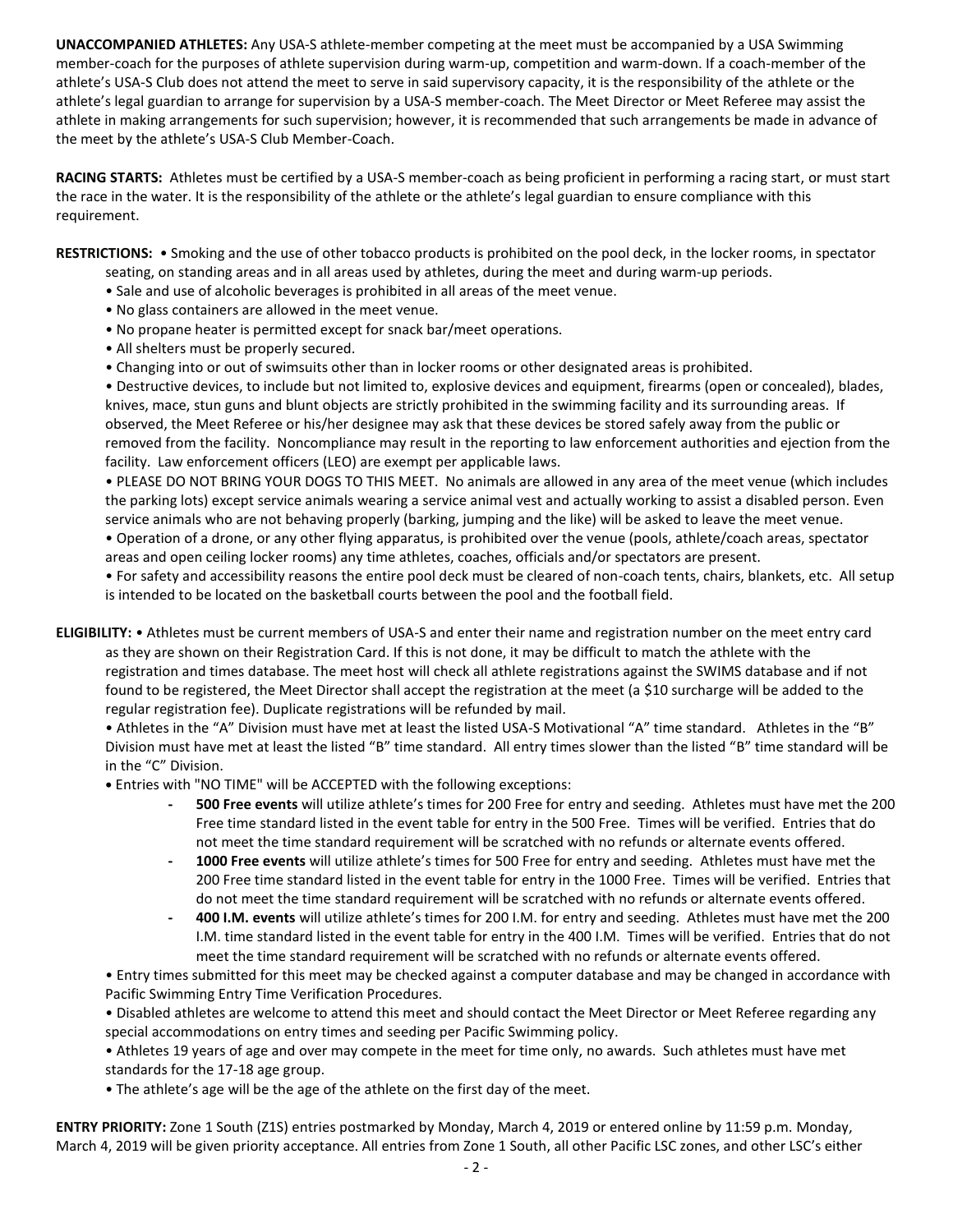**UNACCOMPANIED ATHLETES:** Any USA-S athlete-member competing at the meet must be accompanied by a USA Swimming member-coach for the purposes of athlete supervision during warm-up, competition and warm-down. If a coach-member of the athlete's USA-S Club does not attend the meet to serve in said supervisory capacity, it is the responsibility of the athlete or the athlete's legal guardian to arrange for supervision by a USA-S member-coach. The Meet Director or Meet Referee may assist the athlete in making arrangements for such supervision; however, it is recommended that such arrangements be made in advance of the meet by the athlete's USA-S Club Member-Coach.

**RACING STARTS:** Athletes must be certified by a USA-S member-coach as being proficient in performing a racing start, or must start the race in the water. It is the responsibility of the athlete or the athlete's legal guardian to ensure compliance with this requirement.

**RESTRICTIONS:** • Smoking and the use of other tobacco products is prohibited on the pool deck, in the locker rooms, in spectator

- seating, on standing areas and in all areas used by athletes, during the meet and during warm-up periods.
- Sale and use of alcoholic beverages is prohibited in all areas of the meet venue.
- No glass containers are allowed in the meet venue.
- No propane heater is permitted except for snack bar/meet operations.
- All shelters must be properly secured.
- Changing into or out of swimsuits other than in locker rooms or other designated areas is prohibited.

• Destructive devices, to include but not limited to, explosive devices and equipment, firearms (open or concealed), blades, knives, mace, stun guns and blunt objects are strictly prohibited in the swimming facility and its surrounding areas. If observed, the Meet Referee or his/her designee may ask that these devices be stored safely away from the public or removed from the facility. Noncompliance may result in the reporting to law enforcement authorities and ejection from the facility. Law enforcement officers (LEO) are exempt per applicable laws.

• PLEASE DO NOT BRING YOUR DOGS TO THIS MEET. No animals are allowed in any area of the meet venue (which includes the parking lots) except service animals wearing a service animal vest and actually working to assist a disabled person. Even service animals who are not behaving properly (barking, jumping and the like) will be asked to leave the meet venue. • Operation of a drone, or any other flying apparatus, is prohibited over the venue (pools, athlete/coach areas, spectator areas and open ceiling locker rooms) any time athletes, coaches, officials and/or spectators are present.

• For safety and accessibility reasons the entire pool deck must be cleared of non-coach tents, chairs, blankets, etc. All setup is intended to be located on the basketball courts between the pool and the football field.

**ELIGIBILITY:** • Athletes must be current members of USA-S and enter their name and registration number on the meet entry card as they are shown on their Registration Card. If this is not done, it may be difficult to match the athlete with the registration and times database. The meet host will check all athlete registrations against the SWIMS database and if not found to be registered, the Meet Director shall accept the registration at the meet (a \$10 surcharge will be added to the regular registration fee). Duplicate registrations will be refunded by mail.

• Athletes in the "A" Division must have met at least the listed USA-S Motivational "A" time standard. Athletes in the "B" Division must have met at least the listed "B" time standard. All entry times slower than the listed "B" time standard will be in the "C" Division.

 **•** Entries with "NO TIME" will be ACCEPTED with the following exceptions:

- **- 500 Free events** will utilize athlete's times for 200 Free for entry and seeding. Athletes must have met the 200 Free time standard listed in the event table for entry in the 500 Free. Times will be verified. Entries that do not meet the time standard requirement will be scratched with no refunds or alternate events offered.
- **- 1000 Free events** will utilize athlete's times for 500 Free for entry and seeding. Athletes must have met the 200 Free time standard listed in the event table for entry in the 1000 Free. Times will be verified. Entries that do not meet the time standard requirement will be scratched with no refunds or alternate events offered.
- **- 400 I.M. events** will utilize athlete's times for 200 I.M. for entry and seeding. Athletes must have met the 200 I.M. time standard listed in the event table for entry in the 400 I.M. Times will be verified. Entries that do not meet the time standard requirement will be scratched with no refunds or alternate events offered.

• Entry times submitted for this meet may be checked against a computer database and may be changed in accordance with Pacific Swimming Entry Time Verification Procedures.

• Disabled athletes are welcome to attend this meet and should contact the Meet Director or Meet Referee regarding any special accommodations on entry times and seeding per Pacific Swimming policy.

• Athletes 19 years of age and over may compete in the meet for time only, no awards. Such athletes must have met standards for the 17-18 age group.

• The athlete's age will be the age of the athlete on the first day of the meet.

**ENTRY PRIORITY:** Zone 1 South (Z1S) entries postmarked by Monday, March 4, 2019 or entered online by 11:59 p.m. Monday, March 4, 2019 will be given priority acceptance. All entries from Zone 1 South, all other Pacific LSC zones, and other LSC's either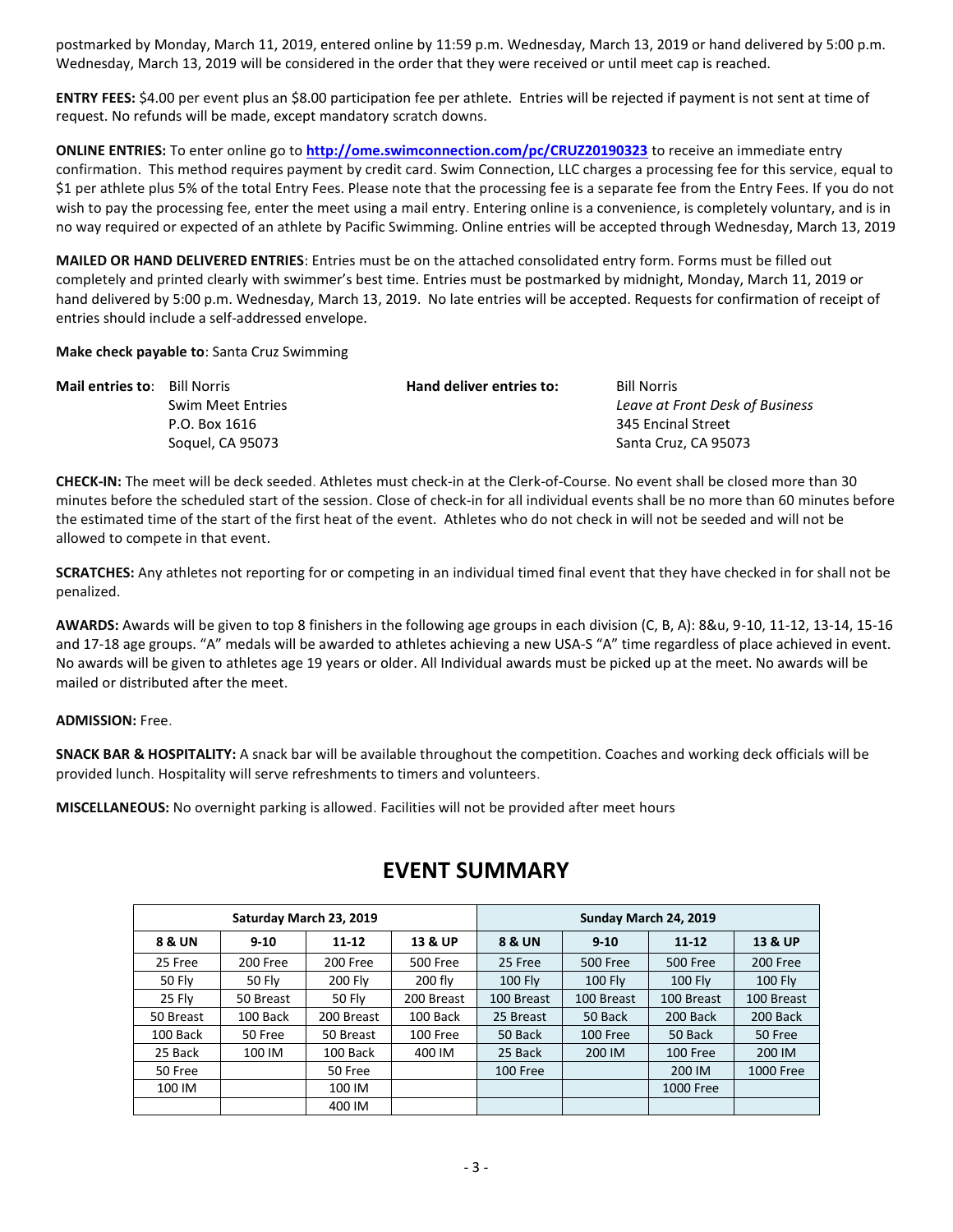postmarked by Monday, March 11, 2019, entered online by 11:59 p.m. Wednesday, March 13, 2019 or hand delivered by 5:00 p.m. Wednesday, March 13, 2019 will be considered in the order that they were received or until meet cap is reached.

**ENTRY FEES:** \$4.00 per event plus an \$8.00 participation fee per athlete. Entries will be rejected if payment is not sent at time of request. No refunds will be made, except mandatory scratch downs.

**ONLINE ENTRIES:** To enter online go to **<http://ome.swimconnection.com/pc/CRUZ20190323>** to receive an immediate entry confirmation. This method requires payment by credit card. Swim Connection, LLC charges a processing fee for this service, equal to \$1 per athlete plus 5% of the total Entry Fees. Please note that the processing fee is a separate fee from the Entry Fees. If you do not wish to pay the processing fee, enter the meet using a mail entry. Entering online is a convenience, is completely voluntary, and is in no way required or expected of an athlete by Pacific Swimming. Online entries will be accepted through Wednesday, March 13, 2019

**MAILED OR HAND DELIVERED ENTRIES**: Entries must be on the attached consolidated entry form. Forms must be filled out completely and printed clearly with swimmer's best time. Entries must be postmarked by midnight, Monday, March 11, 2019 or hand delivered by 5:00 p.m. Wednesday, March 13, 2019. No late entries will be accepted. Requests for confirmation of receipt of entries should include a self-addressed envelope.

**Make check payable to**: Santa Cruz Swimming

| <b>Mail entries to:</b> Bill Norris |                          | Hand deliver entries to: | <b>Bill Norris</b>              |
|-------------------------------------|--------------------------|--------------------------|---------------------------------|
|                                     | <b>Swim Meet Entries</b> |                          | Leave at Front Desk of Business |
|                                     | P.O. Box 1616            |                          | 345 Encinal Street              |
|                                     | Soquel, CA 95073         |                          | Santa Cruz, CA 95073            |

**CHECK-IN:** The meet will be deck seeded. Athletes must check-in at the Clerk-of-Course. No event shall be closed more than 30 minutes before the scheduled start of the session. Close of check-in for all individual events shall be no more than 60 minutes before the estimated time of the start of the first heat of the event. Athletes who do not check in will not be seeded and will not be allowed to compete in that event.

**SCRATCHES:** Any athletes not reporting for or competing in an individual timed final event that they have checked in for shall not be penalized.

**AWARDS:** Awards will be given to top 8 finishers in the following age groups in each division (C, B, A): 8&u, 9-10, 11-12, 13-14, 15-16 and 17-18 age groups. "A" medals will be awarded to athletes achieving a new USA-S "A" time regardless of place achieved in event. No awards will be given to athletes age 19 years or older. All Individual awards must be picked up at the meet. No awards will be mailed or distributed after the meet.

**ADMISSION:** Free.

**SNACK BAR & HOSPITALITY:** A snack bar will be available throughout the competition. Coaches and working deck officials will be provided lunch. Hospitality will serve refreshments to timers and volunteers.

**MISCELLANEOUS:** No overnight parking is allowed. Facilities will not be provided after meet hours

|           | Saturday March 23, 2019 |                |            | Sunday March 24, 2019 |                 |                |                    |  |  |
|-----------|-------------------------|----------------|------------|-----------------------|-----------------|----------------|--------------------|--|--|
| 8 & UN    | $9 - 10$<br>$11 - 12$   |                | 13 & UP    | 8 & UN                | $9 - 10$        | $11 - 12$      | <b>13 &amp; UP</b> |  |  |
| 25 Free   | 200 Free                | 200 Free       | 500 Free   | 25 Free               | <b>500 Free</b> | 500 Free       | 200 Free           |  |  |
| 50 Fly    | 50 Fly                  | <b>200 Fly</b> | $200$ fly  | $100$ Fly             | <b>100 Flv</b>  | <b>100 Flv</b> | <b>100 Fly</b>     |  |  |
| 25 Fly    | 50 Breast               | 50 Fly         | 200 Breast | 100 Breast            | 100 Breast      | 100 Breast     | 100 Breast         |  |  |
| 50 Breast | 100 Back                | 200 Breast     | 100 Back   | 25 Breast             | 50 Back         | 200 Back       | 200 Back           |  |  |
| 100 Back  | 50 Free                 | 50 Breast      | 100 Free   | 50 Back               | 100 Free        | 50 Back        | 50 Free            |  |  |
| 25 Back   | 100 IM                  | 100 Back       | 400 IM     | 25 Back               | 200 IM          | 100 Free       | 200 IM             |  |  |
| 50 Free   |                         | 50 Free        |            | 100 Free              |                 | 200 IM         | 1000 Free          |  |  |
| 100 IM    |                         | 100 IM         |            |                       |                 | 1000 Free      |                    |  |  |
|           |                         | 400 IM         |            |                       |                 |                |                    |  |  |

## **EVENT SUMMARY**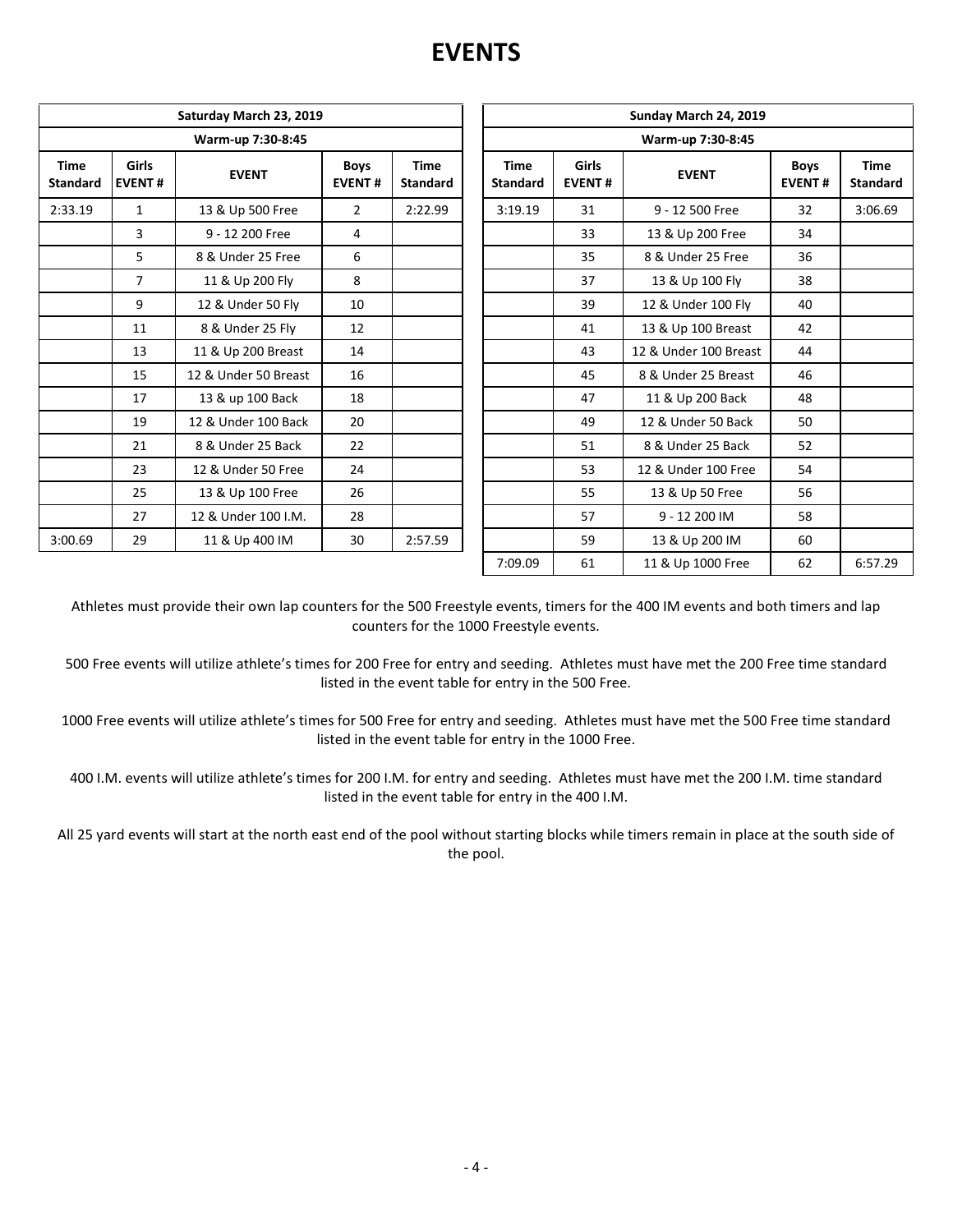## **EVENTS**

|                                                                 |                | Saturday March 23, 2019 |                       |                                | Sunday March 24, 2019          |                               |                       |                              |                        |  |  |  |
|-----------------------------------------------------------------|----------------|-------------------------|-----------------------|--------------------------------|--------------------------------|-------------------------------|-----------------------|------------------------------|------------------------|--|--|--|
|                                                                 |                | Warm-up 7:30-8:45       |                       |                                | Warm-up 7:30-8:45              |                               |                       |                              |                        |  |  |  |
| <b>Girls</b><br><b>Time</b><br><b>EVENT#</b><br><b>Standard</b> |                | <b>EVENT</b>            | Boys<br><b>EVENT#</b> | <b>Time</b><br><b>Standard</b> | <b>Time</b><br><b>Standard</b> | <b>Girls</b><br><b>EVENT#</b> | <b>EVENT</b>          | <b>Boys</b><br><b>EVENT#</b> | <b>Time</b><br>Standar |  |  |  |
| 2:33.19                                                         | $\mathbf{1}$   | 13 & Up 500 Free        | $\overline{2}$        | 2:22.99                        | 3:19.19                        | 31                            | 9 - 12 500 Free       | 32                           | 3:06.69                |  |  |  |
|                                                                 | 3              | 9 - 12 200 Free         | 4                     |                                |                                | 33                            | 13 & Up 200 Free      | 34                           |                        |  |  |  |
|                                                                 | 5              | 8 & Under 25 Free       | 6                     |                                |                                | 35                            | 8 & Under 25 Free     | 36                           |                        |  |  |  |
|                                                                 | $\overline{7}$ | 11 & Up 200 Fly         | 8                     |                                |                                | 37                            | 13 & Up 100 Fly       | 38                           |                        |  |  |  |
|                                                                 | 9              | 12 & Under 50 Fly       | 10                    |                                |                                | 39                            | 12 & Under 100 Fly    | 40                           |                        |  |  |  |
|                                                                 | 11             | 8 & Under 25 Fly        | 12                    |                                |                                | 41                            | 13 & Up 100 Breast    | 42                           |                        |  |  |  |
|                                                                 | 13             | 11 & Up 200 Breast      | 14                    |                                |                                | 43                            | 12 & Under 100 Breast | 44                           |                        |  |  |  |
|                                                                 | 15             | 12 & Under 50 Breast    | 16                    |                                |                                | 45                            | 8 & Under 25 Breast   | 46                           |                        |  |  |  |
|                                                                 | 17             | 13 & up 100 Back        | 18                    |                                |                                | 47                            | 11 & Up 200 Back      | 48                           |                        |  |  |  |
|                                                                 | 19             | 12 & Under 100 Back     | 20                    |                                |                                | 49                            | 12 & Under 50 Back    | 50                           |                        |  |  |  |
|                                                                 | 21             | 8 & Under 25 Back       | 22                    |                                |                                | 51                            | 8 & Under 25 Back     | 52                           |                        |  |  |  |
|                                                                 | 23             | 12 & Under 50 Free      | 24                    |                                |                                | 53                            | 12 & Under 100 Free   | 54                           |                        |  |  |  |
|                                                                 | 25             | 13 & Up 100 Free        | 26                    |                                |                                | 55                            | 13 & Up 50 Free       | 56                           |                        |  |  |  |
|                                                                 | 27             | 12 & Under 100 I.M.     | 28                    |                                |                                | 57                            | 9 - 12 200 IM         | 58                           |                        |  |  |  |
| 3:00.69                                                         | 29             | 11 & Up 400 IM          | 30                    | 2:57.59                        |                                | 59                            | 13 & Up 200 IM        | 60                           |                        |  |  |  |

| urday March 23, 2019 |                              |                                |                   | Sunday March 24, 2019          |                                        |                       |                              |                                |  |  |  |
|----------------------|------------------------------|--------------------------------|-------------------|--------------------------------|----------------------------------------|-----------------------|------------------------------|--------------------------------|--|--|--|
| Warm-up 7:30-8:45    |                              |                                | Warm-up 7:30-8:45 |                                |                                        |                       |                              |                                |  |  |  |
| <b>EVENT</b>         | <b>Boys</b><br><b>EVENT#</b> | <b>Time</b><br><b>Standard</b> |                   | <b>Time</b><br><b>Standard</b> | Girls<br><b>EVENT</b><br><b>EVENT#</b> |                       | <b>Boys</b><br><b>EVENT#</b> | <b>Time</b><br><b>Standard</b> |  |  |  |
| 13 & Up 500 Free     | $\overline{2}$               | 2:22.99                        |                   | 3:19.19                        | 31                                     | 9 - 12 500 Free       | 32                           | 3:06.69                        |  |  |  |
| 9 - 12 200 Free      | 4                            |                                |                   |                                | 33                                     | 13 & Up 200 Free      | 34                           |                                |  |  |  |
| 8 & Under 25 Free    | 6                            |                                |                   |                                | 35                                     | 8 & Under 25 Free     | 36                           |                                |  |  |  |
| 11 & Up 200 Fly      | 8                            |                                |                   |                                | 37                                     | 13 & Up 100 Fly       | 38                           |                                |  |  |  |
| 12 & Under 50 Fly    | 10                           |                                |                   |                                | 39                                     | 12 & Under 100 Fly    | 40                           |                                |  |  |  |
| 8 & Under 25 Fly     | 12                           |                                |                   |                                | 41                                     | 13 & Up 100 Breast    | 42                           |                                |  |  |  |
| 11 & Up 200 Breast   | 14                           |                                |                   |                                | 43                                     | 12 & Under 100 Breast | 44                           |                                |  |  |  |
| 2 & Under 50 Breast  | 16                           |                                |                   |                                | 45                                     | 8 & Under 25 Breast   | 46                           |                                |  |  |  |
| 13 & up 100 Back     | 18                           |                                |                   |                                | 47                                     | 11 & Up 200 Back      | 48                           |                                |  |  |  |
| 2 & Under 100 Back   | 20                           |                                |                   |                                | 49                                     | 12 & Under 50 Back    | 50                           |                                |  |  |  |
| 8 & Under 25 Back    | 22                           |                                |                   |                                | 51                                     | 8 & Under 25 Back     | 52                           |                                |  |  |  |
| 12 & Under 50 Free   | 24                           |                                |                   |                                | 53                                     | 12 & Under 100 Free   | 54                           |                                |  |  |  |
| 13 & Up 100 Free     | 26                           |                                |                   |                                | 55                                     | 13 & Up 50 Free       | 56                           |                                |  |  |  |
| 12 & Under 100 I.M.  | 28                           |                                |                   |                                | 57                                     | 9 - 12 200 IM         | 58                           |                                |  |  |  |
| 11 & Up 400 IM       | 30                           | 2:57.59                        |                   |                                | 59                                     | 13 & Up 200 IM        | 60                           |                                |  |  |  |
|                      |                              |                                |                   | 7:09.09                        | 61                                     | 11 & Up 1000 Free     | 62                           | 6:57.29                        |  |  |  |

Athletes must provide their own lap counters for the 500 Freestyle events, timers for the 400 IM events and both timers and lap counters for the 1000 Freestyle events.

500 Free events will utilize athlete's times for 200 Free for entry and seeding. Athletes must have met the 200 Free time standard listed in the event table for entry in the 500 Free.

1000 Free events will utilize athlete's times for 500 Free for entry and seeding. Athletes must have met the 500 Free time standard listed in the event table for entry in the 1000 Free.

400 I.M. events will utilize athlete's times for 200 I.M. for entry and seeding. Athletes must have met the 200 I.M. time standard listed in the event table for entry in the 400 I.M.

All 25 yard events will start at the north east end of the pool without starting blocks while timers remain in place at the south side of the pool.